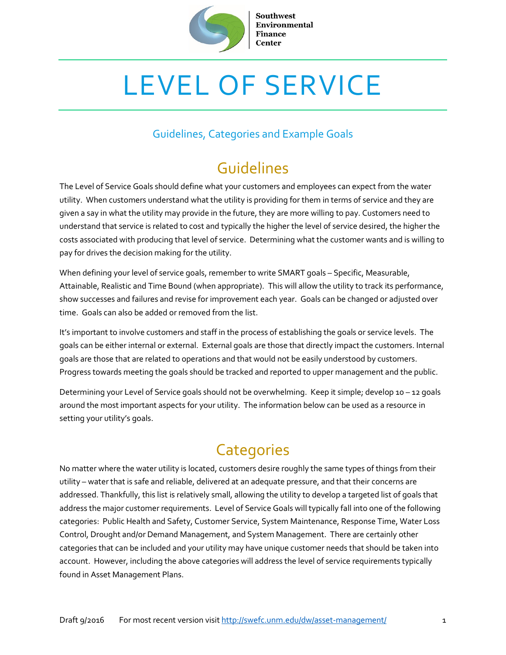

**Southwest Environmental Finance Center** 

# LEVEL OF SERVICE

#### Guidelines, Categories and Example Goals

## Guidelines

The Level of Service Goals should define what your customers and employees can expect from the water utility. When customers understand what the utility is providing for them in terms of service and they are given a say in what the utility may provide in the future, they are more willing to pay. Customers need to understand that service is related to cost and typically the higher the level of service desired, the higher the costs associated with producing that level of service. Determining what the customer wants and is willing to pay for drives the decision making for the utility.

When defining your level of service goals, remember to write SMART goals – Specific, Measurable, Attainable, Realistic and Time Bound (when appropriate). This will allow the utility to track its performance, show successes and failures and revise for improvement each year. Goals can be changed or adjusted over time. Goals can also be added or removed from the list.

It's important to involve customers and staff in the process of establishing the goals or service levels. The goals can be either internal or external. External goals are those that directly impact the customers. Internal goals are those that are related to operations and that would not be easily understood by customers. Progress towards meeting the goals should be tracked and reported to upper management and the public.

Determining your Level of Service goals should not be overwhelming. Keep it simple; develop 10 – 12 goals around the most important aspects for your utility. The information below can be used as a resource in setting your utility's goals.

# **Categories**

No matter where the water utility is located, customers desire roughly the same types of things from their utility – water that is safe and reliable, delivered at an adequate pressure, and that their concerns are addressed. Thankfully, this list is relatively small, allowing the utility to develop a targeted list of goals that address the major customer requirements. Level of Service Goals will typically fall into one of the following categories: Public Health and Safety, Customer Service, System Maintenance, Response Time, Water Loss Control, Drought and/or Demand Management, and System Management. There are certainly other categories that can be included and your utility may have unique customer needs that should be taken into account. However, including the above categories will address the level of service requirements typically found in Asset Management Plans.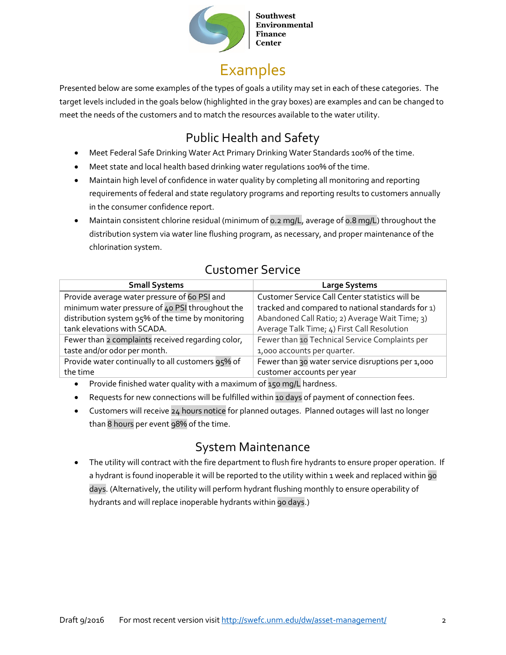

**Southwest Environmental Finance Center** 

# Examples

Presented below are some examples of the types of goals a utility may set in each of these categories. The target levels included in the goals below (highlighted in the gray boxes) are examples and can be changed to meet the needs of the customers and to match the resources available to the water utility.

### Public Health and Safety

- Meet Federal Safe Drinking Water Act Primary Drinking Water Standards 100% of the time.
- Meet state and local health based drinking water regulations 100% of the time.
- Maintain high level of confidence in water quality by completing all monitoring and reporting requirements of federal and state regulatory programs and reporting results to customers annually in the consumer confidence report.
- Maintain consistent chlorine residual (minimum of 0.2 mg/L, average of 0.8 mg/L) throughout the distribution system via water line flushing program, as necessary, and proper maintenance of the chlorination system.

#### **Small Systems Large Systems** Provide average water pressure of 60 PSI and minimum water pressure of 40 PSI throughout the distribution system 95% of the time by monitoring tank elevations with SCADA. Customer Service Call Center statistics will be tracked and compared to national standards for 1) Abandoned Call Ratio; 2) Average Wait Time; 3) Average Talk Time; 4) First Call Resolution Fewer than 2 complaints received regarding color, taste and/or odor per month. Fewer than 10 Technical Service Complaints per 1,000 accounts per quarter. Provide water continually to all customers 95% of the time Fewer than 30 water service disruptions per 1,000 customer accounts per year

#### Customer Service

- Provide finished water quality with a maximum of 150 mq/L hardness.
- Requests for new connections will be fulfilled within 10 days of payment of connection fees.
- Customers will receive 24 hours notice for planned outages. Planned outages will last no longer than 8 hours per event 98% of the time.

#### System Maintenance

The utility will contract with the fire department to flush fire hydrants to ensure proper operation. If a hydrant is found inoperable it will be reported to the utility within 1 week and replaced within 90 days. (Alternatively, the utility will perform hydrant flushing monthly to ensure operability of hydrants and will replace inoperable hydrants within 90 days.)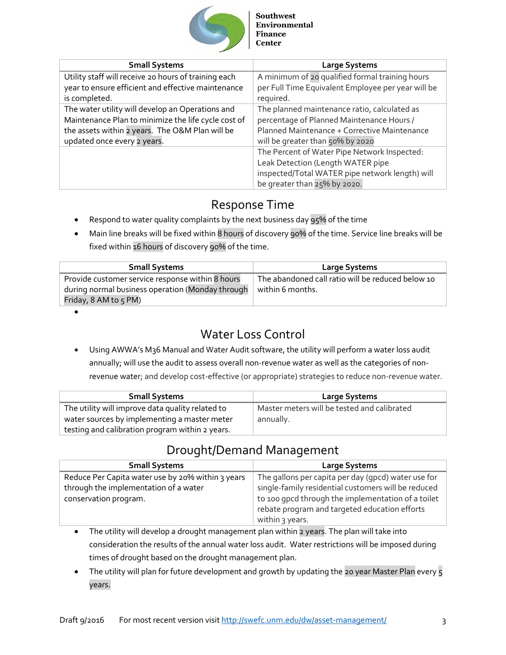

| <b>Small Systems</b>                                 | <b>Large Systems</b>                               |
|------------------------------------------------------|----------------------------------------------------|
| Utility staff will receive 20 hours of training each | A minimum of 20 qualified formal training hours    |
| year to ensure efficient and effective maintenance   | per Full Time Equivalent Employee per year will be |
| is completed.                                        | required.                                          |
| The water utility will develop an Operations and     | The planned maintenance ratio, calculated as       |
| Maintenance Plan to minimize the life cycle cost of  | percentage of Planned Maintenance Hours /          |
| the assets within 2 years. The O&M Plan will be      | Planned Maintenance + Corrective Maintenance       |
| updated once every 2 years.                          | will be greater than 50% by 2020                   |
|                                                      | The Percent of Water Pipe Network Inspected:       |
|                                                      | Leak Detection (Length WATER pipe                  |
|                                                      | inspected/Total WATER pipe network length) will    |
|                                                      | be greater than 25% by 2020.                       |

#### Response Time

- Respond to water quality complaints by the next business day 95% of the time
- Main line breaks will be fixed within 8 hours of discovery 90% of the time. Service line breaks will be fixed within 16 hours of discovery 90% of the time.

| <b>Small Systems</b>                             | Large Systems                                     |
|--------------------------------------------------|---------------------------------------------------|
| Provide customer service response within 8 hours | The abandoned call ratio will be reduced below 10 |
| during normal business operation (Monday through | within 6 months.                                  |
| Friday, 8 AM to 5 PM)                            |                                                   |

•

#### Water Loss Control

• Using AWWA's M36 Manual and Water Audit software, the utility will perform a water loss audit annually; will use the audit to assess overall non-revenue water as well as the categories of nonrevenue water; and develop cost-effective (or appropriate) strategies to reduce non-revenue water.

| <b>Small Systems</b>                             | Large Systems                               |
|--------------------------------------------------|---------------------------------------------|
| The utility will improve data quality related to | Master meters will be tested and calibrated |
| water sources by implementing a master meter     | annually.                                   |
| testing and calibration program within 2 years.  |                                             |

#### Drought/Demand Management

| <b>Small Systems</b>                              | <b>Large Systems</b>                                |
|---------------------------------------------------|-----------------------------------------------------|
| Reduce Per Capita water use by 20% within 3 years | The gallons per capita per day (gpcd) water use for |
| through the implementation of a water             | single-family residential customers will be reduced |
| conservation program.                             | to 100 gpcd through the implementation of a toilet  |
|                                                   | rebate program and targeted education efforts       |
|                                                   | within 3 years.                                     |

The utility will develop a drought management plan within 2 years. The plan will take into consideration the results of the annual water loss audit. Water restrictions will be imposed during times of drought based on the drought management plan.

• The utility will plan for future development and growth by updating the 20 year Master Plan every 5 years.